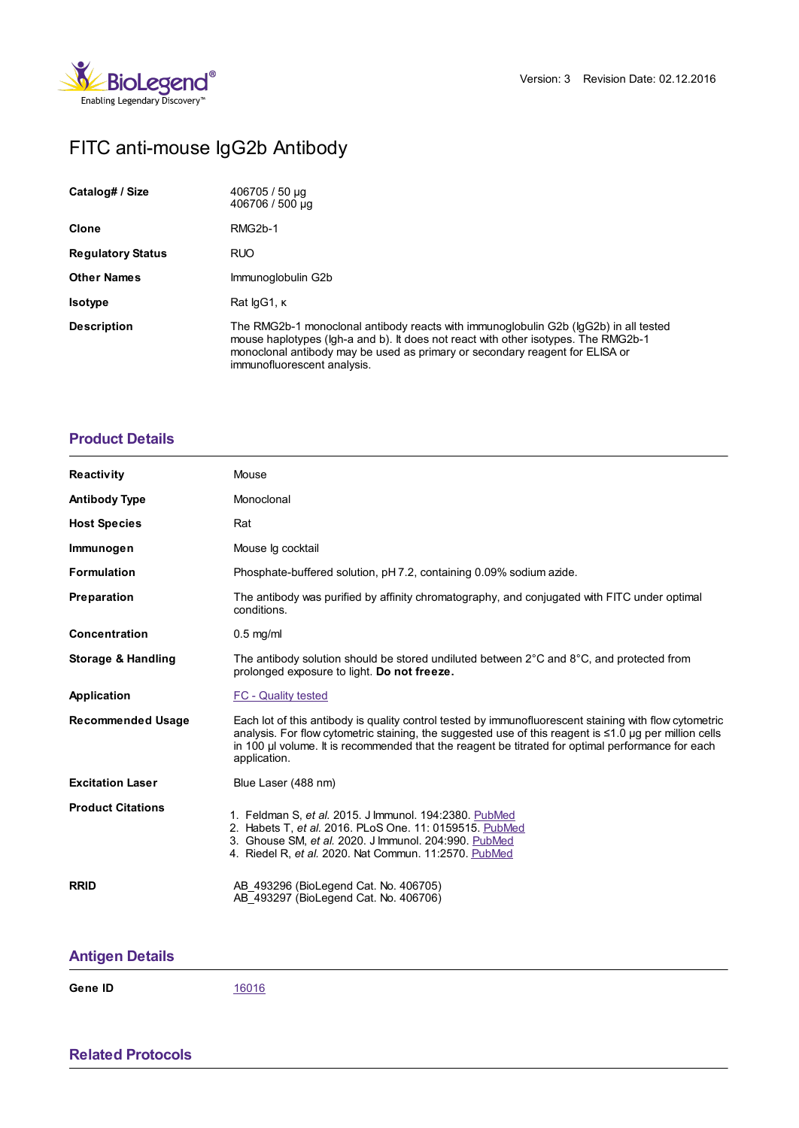

## FITC anti-mouse IgG2b Antibody

| Catalog# / Size          | 406705 / 50 µg<br>406706 / 500 µg                                                                                                                                                                                                                                                         |
|--------------------------|-------------------------------------------------------------------------------------------------------------------------------------------------------------------------------------------------------------------------------------------------------------------------------------------|
| <b>Clone</b>             | RMG <sub>2</sub> b-1                                                                                                                                                                                                                                                                      |
| <b>Regulatory Status</b> | <b>RUO</b>                                                                                                                                                                                                                                                                                |
| <b>Other Names</b>       | Immunoglobulin G2b                                                                                                                                                                                                                                                                        |
| <b>Isotype</b>           | Rat lgG1, K                                                                                                                                                                                                                                                                               |
| <b>Description</b>       | The RMG2b-1 monoclonal antibody reacts with immunoglobulin G2b (lgG2b) in all tested<br>mouse haplotypes (Igh-a and b). It does not react with other isotypes. The RMG2b-1<br>monoclonal antibody may be used as primary or secondary reagent for ELISA or<br>immunofluorescent analysis. |

## **[Product](https://www.biolegend.com/de-at/products/fitc-anti-mouse-igg2b-3187?pdf=true&displayInline=true&leftRightMargin=15&topBottomMargin=15&filename=FITC anti-mouse IgG2b Antibody.pdf#productDetails) Details**

| <b>Reactivity</b>        | Mouse                                                                                                                                                                                                                                                                                                                                      |
|--------------------------|--------------------------------------------------------------------------------------------------------------------------------------------------------------------------------------------------------------------------------------------------------------------------------------------------------------------------------------------|
| <b>Antibody Type</b>     | Monoclonal                                                                                                                                                                                                                                                                                                                                 |
| <b>Host Species</b>      | Rat                                                                                                                                                                                                                                                                                                                                        |
| Immunogen                | Mouse Ig cocktail                                                                                                                                                                                                                                                                                                                          |
| <b>Formulation</b>       | Phosphate-buffered solution, pH 7.2, containing 0.09% sodium azide.                                                                                                                                                                                                                                                                        |
| Preparation              | The antibody was purified by affinity chromatography, and conjugated with FITC under optimal<br>conditions.                                                                                                                                                                                                                                |
| <b>Concentration</b>     | $0.5$ mg/ml                                                                                                                                                                                                                                                                                                                                |
| Storage & Handling       | The antibody solution should be stored undiluted between $2^{\circ}$ C and $8^{\circ}$ C, and protected from<br>prolonged exposure to light. Do not freeze.                                                                                                                                                                                |
| Application              | <b>FC - Quality tested</b>                                                                                                                                                                                                                                                                                                                 |
| <b>Recommended Usage</b> | Each lot of this antibody is quality control tested by immunofluorescent staining with flow cytometric<br>analysis. For flow cytometric staining, the suggested use of this reagent is $\leq 1.0$ µg per million cells<br>in 100 µ volume. It is recommended that the reagent be titrated for optimal performance for each<br>application. |
| <b>Excitation Laser</b>  | Blue Laser (488 nm)                                                                                                                                                                                                                                                                                                                        |
| <b>Product Citations</b> | 1. Feldman S, et al. 2015. J Immunol. 194:2380. PubMed<br>2. Habets T, et al. 2016. PLoS One. 11: 0159515. PubMed<br>3. Ghouse SM, et al. 2020. J Immunol. 204:990. PubMed<br>4. Riedel R, et al. 2020. Nat Commun. 11:2570. PubMed                                                                                                        |
| <b>RRID</b>              | AB 493296 (BioLegend Cat. No. 406705)<br>AB 493297 (BioLegend Cat. No. 406706)                                                                                                                                                                                                                                                             |

## **[Antigen](https://www.biolegend.com/de-at/products/fitc-anti-mouse-igg2b-3187?pdf=true&displayInline=true&leftRightMargin=15&topBottomMargin=15&filename=FITC anti-mouse IgG2b Antibody.pdf#antigenDetails) Details**

**Gene ID** [16016](https://www.ncbi.nlm.nih.gov/gene/16016)